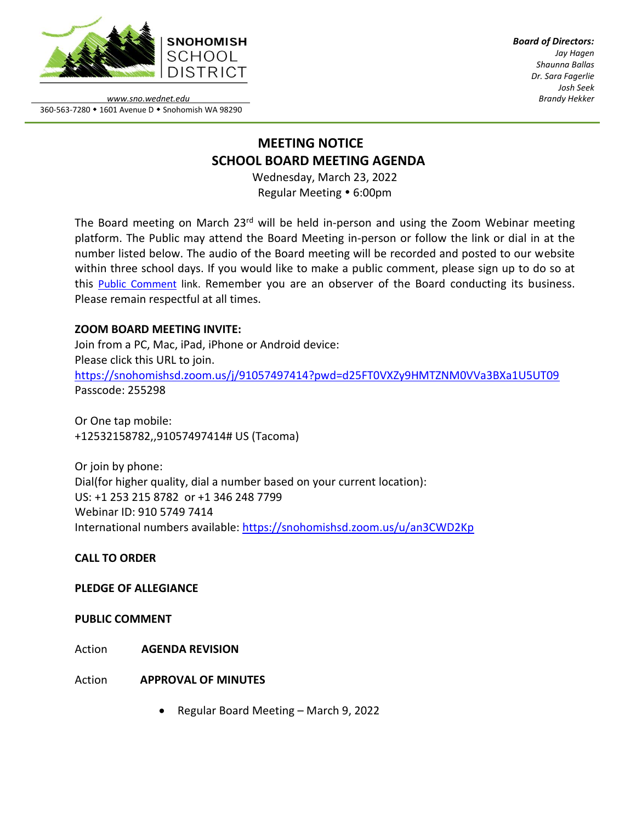

*Board of Directors: Jay Hagen Shaunna Ballas Dr. Sara Fagerlie Josh Seek Brandy Hekker*

*www.sno.wednet.edu* 360-563-7280 • 1601 Avenue D • Snohomish WA 98290

# **MEETING NOTICE SCHOOL BOARD MEETING AGENDA**

Wednesday, March 23, 2022 Regular Meeting • 6:00pm

The Board meeting on March 23<sup>rd</sup> will be held in-person and using the Zoom Webinar meeting platform. The Public may attend the Board Meeting in-person or follow the link or dial in at the number listed below. The audio of the Board meeting will be recorded and posted to our website within three school days. If you would like to make a public comment, please sign up to do so at this Public [Comment](https://www.sno.wednet.edu/site/Default.aspx?PageID=5004) link. Remember you are an observer of the Board conducting its business. Please remain respectful at all times.

# **ZOOM BOARD MEETING INVITE:**

Join from a PC, Mac, iPad, iPhone or Android device: Please click this URL to join. <https://snohomishsd.zoom.us/j/91057497414?pwd=d25FT0VXZy9HMTZNM0VVa3BXa1U5UT09> Passcode: 255298

Or One tap mobile: +12532158782,,91057497414# US (Tacoma)

Or join by phone: Dial(for higher quality, dial a number based on your current location): US: +1 253 215 8782 or +1 346 248 7799 Webinar ID: 910 5749 7414 International numbers available:<https://snohomishsd.zoom.us/u/an3CWD2Kp>

**CALL TO ORDER**

## **PLEDGE OF ALLEGIANCE**

**PUBLIC COMMENT**

- Action **AGENDA REVISION**
- Action **APPROVAL OF MINUTES**
	- Regular Board Meeting March 9, 2022